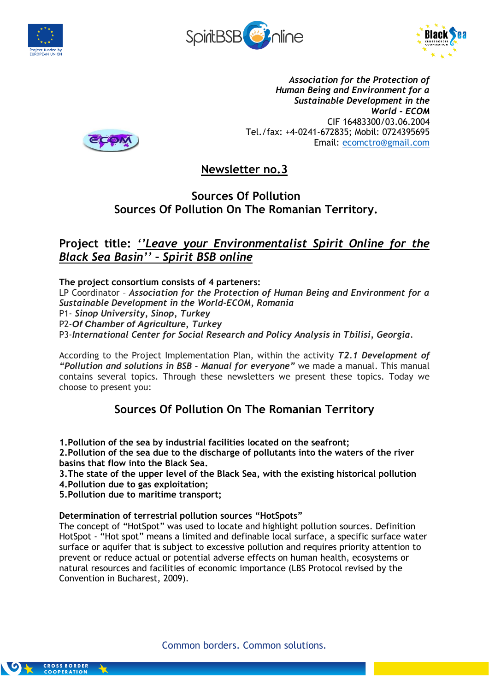





*Association for the Protection of Human Being and Environment for a Sustainable Development in the World - ECOM* CIF 16483300/03.06.2004 Tel./fax: +4-0241-672835; Mobil: 0724395695 Email: [ecomctro@gmail.com](mailto:ecomctro@gmail.com)



**Newsletter no.3**

# **Sources Of Pollution Sources Of Pollution On The Romanian Territory.**

# **Project title:** *''Leave your Environmentalist Spirit Online for the Black Sea Basin'' – Spirit BSB online*

**The project consortium consists of 4 parteners:**

LP Coordinator – *Association for the Protection of Human Being and Environment for a Sustainable Development in the World-ECOM, Romania*

P1- *Sinop University, Sinop, Turkey*

P2-*Of Chamber of Agriculture, Turkey*

P3-*International Center for Social Research and Policy Analysis in Tbilisi, Georgia.*

According to the Project Implementation Plan, within the activity *T2.1 Development of "Pollution and solutions in BSB - Manual for everyone"* we made a manual. This manual contains several topics. Through these newsletters we present these topics. Today we choose to present you:

# **Sources Of Pollution On The Romanian Territory**

**1.Pollution of the sea by industrial facilities located on the seafront;**

**2.Pollution of the sea due to the discharge of pollutants into the waters of the river basins that flow into the Black Sea.**

**3.The state of the upper level of the Black Sea, with the existing historical pollution**

**4.Pollution due to gas exploitation;**

**5.Pollution due to maritime transport;**

**Determination of terrestrial pollution sources "HotSpots"**

The concept of "HotSpot" was used to locate and highlight pollution sources. Definition HotSpot - "Hot spot" means a limited and definable local surface, a specific surface water surface or aquifer that is subject to excessive pollution and requires priority attention to prevent or reduce actual or potential adverse effects on human health, ecosystems or natural resources and facilities of economic importance (LBS Protocol revised by the Convention in Bucharest, 2009).

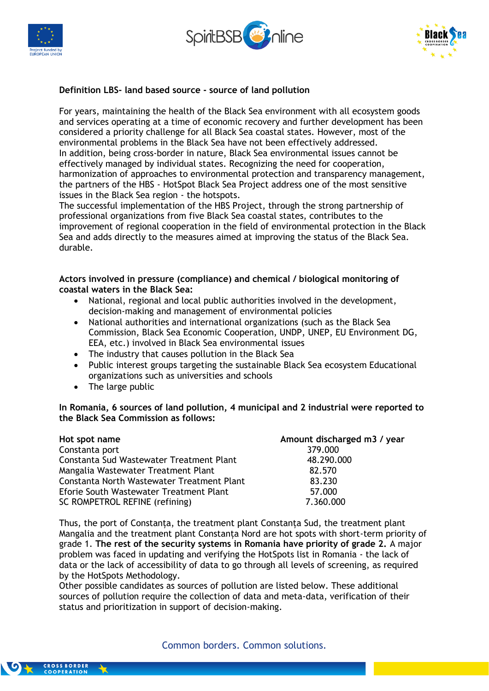





#### **Definition LBS- land based source - source of land pollution**

For years, maintaining the health of the Black Sea environment with all ecosystem goods and services operating at a time of economic recovery and further development has been considered a priority challenge for all Black Sea coastal states. However, most of the environmental problems in the Black Sea have not been effectively addressed. In addition, being cross-border in nature, Black Sea environmental issues cannot be effectively managed by individual states. Recognizing the need for cooperation, harmonization of approaches to environmental protection and transparency management, the partners of the HBS - HotSpot Black Sea Project address one of the most sensitive issues in the Black Sea region - the hotspots.

The successful implementation of the HBS Project, through the strong partnership of professional organizations from five Black Sea coastal states, contributes to the improvement of regional cooperation in the field of environmental protection in the Black Sea and adds directly to the measures aimed at improving the status of the Black Sea. durable.

**Actors involved in pressure (compliance) and chemical / biological monitoring of coastal waters in the Black Sea:**

- National, regional and local public authorities involved in the development, decision-making and management of environmental policies
- National authorities and international organizations (such as the Black Sea Commission, Black Sea Economic Cooperation, UNDP, UNEP, EU Environment DG, EEA, etc.) involved in Black Sea environmental issues
- The industry that causes pollution in the Black Sea
- Public interest groups targeting the sustainable Black Sea ecosystem Educational organizations such as universities and schools
- The large public

**In Romania, 6 sources of land pollution, 4 municipal and 2 industrial were reported to the Black Sea Commission as follows:**

| Hot spot name                              | Amount discharged m3 / year |
|--------------------------------------------|-----------------------------|
| Constanta port                             | 379.000                     |
| Constanta Sud Wastewater Treatment Plant   | 48.290.000                  |
| Mangalia Wastewater Treatment Plant        | 82.570                      |
| Constanta North Wastewater Treatment Plant | 83.230                      |
| Eforie South Wastewater Treatment Plant    | 57.000                      |
| SC ROMPETROL REFINE (refining)             | 7.360.000                   |

Thus, the port of Constanța, the treatment plant Constanța Sud, the treatment plant Mangalia and the treatment plant Constanța Nord are hot spots with short-term priority of grade 1. **The rest of the security systems in Romania have priority of grade 2.** A major problem was faced in updating and verifying the HotSpots list in Romania - the lack of data or the lack of accessibility of data to go through all levels of screening, as required by the HotSpots Methodology.

Other possible candidates as sources of pollution are listed below. These additional sources of pollution require the collection of data and meta-data, verification of their status and prioritization in support of decision-making.

# Common borders. Common solutions.

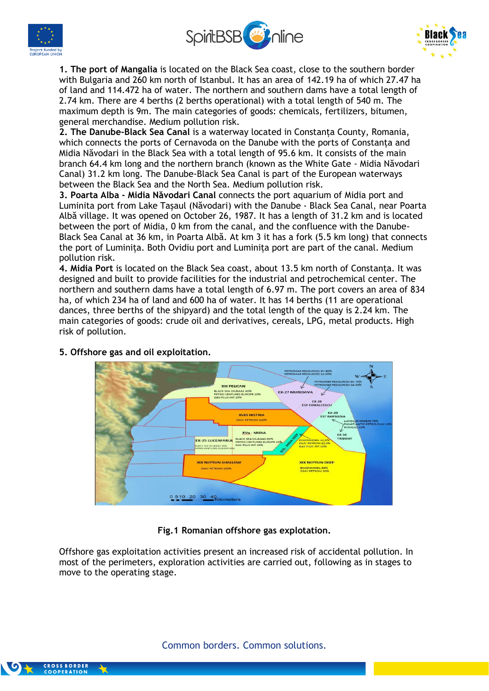





**1. The port of Mangalia** is located on the Black Sea coast, close to the southern border with Bulgaria and 260 km north of Istanbul. It has an area of 142.19 ha of which 27.47 ha of land and 114.472 ha of water. The northern and southern dams have a total length of 2.74 km. There are 4 berths (2 berths operational) with a total length of 540 m. The maximum depth is 9m. The main categories of goods: chemicals, fertilizers, bitumen, general merchandise. Medium pollution risk.

**2. The Danube-Black Sea Canal** is a waterway located in Constanța County, Romania, which connects the ports of Cernavoda on the Danube with the ports of Constanța and Midia Năvodari in the Black Sea with a total length of 95.6 km. It consists of the main branch 64.4 km long and the northern branch (known as the White Gate - Midia Năvodari Canal) 31.2 km long. The Danube-Black Sea Canal is part of the European waterways between the Black Sea and the North Sea. Medium pollution risk.

**3. Poarta Alba - Midia Năvodari Canal** connects the port aquarium of Midia port and Luminita port from Lake Tașaul (Năvodari) with the Danube - Black Sea Canal, near Poarta Albă village. It was opened on October 26, 1987. It has a length of 31.2 km and is located between the port of Midia, 0 km from the canal, and the confluence with the Danube-Black Sea Canal at 36 km, in Poarta Albă. At km 3 it has a fork (5.5 km long) that connects the port of Luminița. Both Ovidiu port and Luminița port are part of the canal. Medium pollution risk.

**4. Midia Port** is located on the Black Sea coast, about 13.5 km north of Constanța. It was designed and built to provide facilities for the industrial and petrochemical center. The northern and southern dams have a total length of 6.97 m. The port covers an area of 834 ha, of which 234 ha of land and 600 ha of water. It has 14 berths (11 are operational dances, three berths of the shipyard) and the total length of the quay is 2.24 km. The main categories of goods: crude oil and derivatives, cereals, LPG, metal products. High risk of pollution.



### **5. Offshore gas and oil exploitation.**

### **Fig.1 Romanian offshore gas explotation.**

Offshore gas exploitation activities present an increased risk of accidental pollution. In most of the perimeters, exploration activities are carried out, following as in stages to move to the operating stage.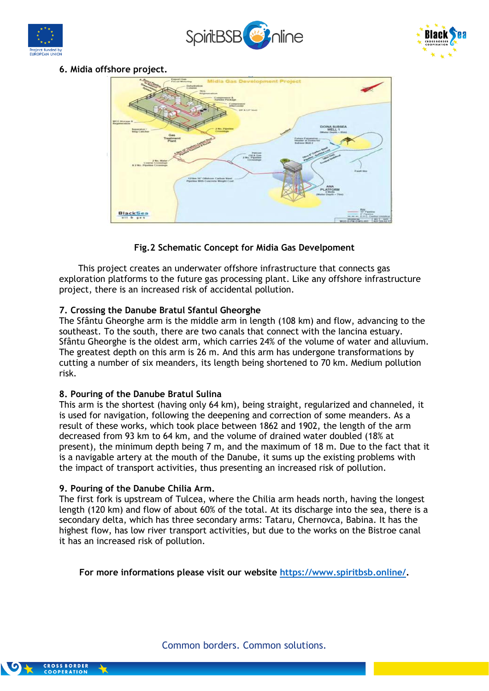





# **6. Midia offshore project.**



# **Fig.2 Schematic Concept for Midia Gas Develpoment**

 This project creates an underwater offshore infrastructure that connects gas exploration platforms to the future gas processing plant. Like any offshore infrastructure project, there is an increased risk of accidental pollution.

### **7. Crossing the Danube Bratul Sfantul Gheorghe**

The Sfântu Gheorghe arm is the middle arm in length (108 km) and flow, advancing to the southeast. To the south, there are two canals that connect with the Iancina estuary. Sfântu Gheorghe is the oldest arm, which carries 24% of the volume of water and alluvium. The greatest depth on this arm is 26 m. And this arm has undergone transformations by cutting a number of six meanders, its length being shortened to 70 km. Medium pollution risk.

### **8. Pouring of the Danube Bratul Sulina**

This arm is the shortest (having only 64 km), being straight, regularized and channeled, it is used for navigation, following the deepening and correction of some meanders. As a result of these works, which took place between 1862 and 1902, the length of the arm decreased from 93 km to 64 km, and the volume of drained water doubled (18% at present), the minimum depth being 7 m, and the maximum of 18 m. Due to the fact that it is a navigable artery at the mouth of the Danube, it sums up the existing problems with the impact of transport activities, thus presenting an increased risk of pollution.

### **9. Pouring of the Danube Chilia Arm.**

The first fork is upstream of Tulcea, where the Chilia arm heads north, having the longest length (120 km) and flow of about 60% of the total. At its discharge into the sea, there is a secondary delta, which has three secondary arms: Tataru, Chernovca, Babina. It has the highest flow, has low river transport activities, but due to the works on the Bistroe canal it has an increased risk of pollution.

**For more informations please visit our website [https://www.spiritbsb.online/.](https://www.spiritbsb.online/)**